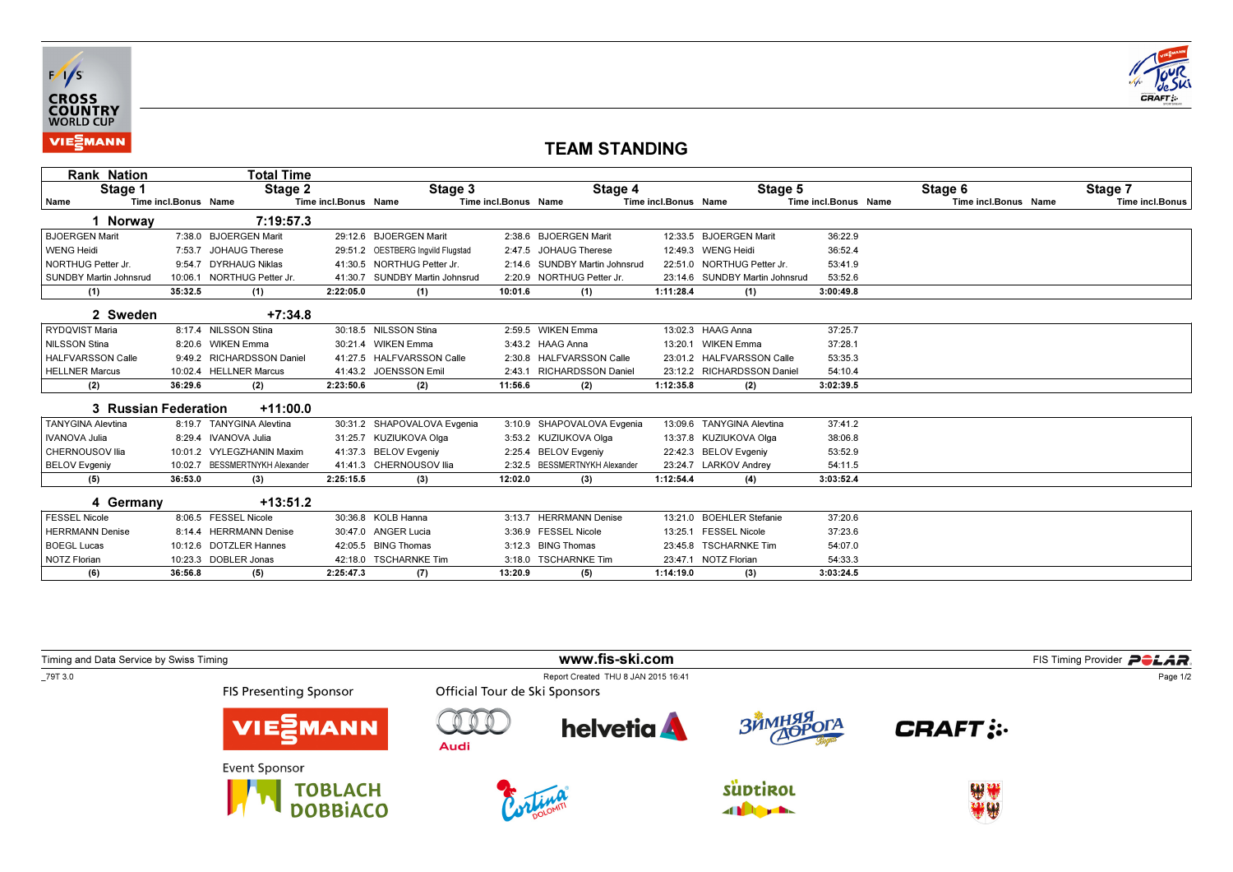



## TEAM STANDING

| <b>Rank Nation</b>            |                      | Total Time                     |                      |                                   |                      |                               |                      |                                |                      |                      |                        |
|-------------------------------|----------------------|--------------------------------|----------------------|-----------------------------------|----------------------|-------------------------------|----------------------|--------------------------------|----------------------|----------------------|------------------------|
| Stage 1                       |                      | Stage 2                        |                      | Stage 3                           |                      | Stage 4                       |                      | Stage 5                        |                      | Stage 6              | Stage 7                |
| Name                          | Time incl.Bonus Name |                                | Time incl.Bonus Name |                                   | Time incl.Bonus Name |                               | Time incl.Bonus Name |                                | Time incl.Bonus Name | Time incl.Bonus Name | <b>Time incl.Bonus</b> |
| 1 Norway                      |                      | 7:19:57.3                      |                      |                                   |                      |                               |                      |                                |                      |                      |                        |
| <b>BJOERGEN Marit</b>         |                      | 7:38.0 BJOERGEN Marit          |                      | 29:12.6 BJOERGEN Marit            |                      | 2:38.6 BJOERGEN Marit         |                      | 12:33.5 BJOERGEN Marit         | 36:22.9              |                      |                        |
| <b>WENG Heidi</b>             |                      | 7:53.7 JOHAUG Therese          |                      | 29:51.2 OESTBERG Ingvild Flugstad |                      | 2:47.5 JOHAUG Therese         |                      | 12:49.3 WENG Heidi             | 36:52.4              |                      |                        |
| NORTHUG Petter Jr.            |                      | 9:54.7 DYRHAUG Niklas          |                      | 41:30.5 NORTHUG Petter Jr.        |                      | 2:14.6 SUNDBY Martin Johnsrud |                      | 22:51.0 NORTHUG Petter Jr.     | 53:41.9              |                      |                        |
| <b>SUNDBY Martin Johnsrud</b> | 10:06.1              | <b>NORTHUG Petter Jr.</b>      |                      | 41:30.7 SUNDBY Martin Johnsrud    |                      | 2:20.9 NORTHUG Petter Jr.     |                      | 23:14.6 SUNDBY Martin Johnsrud | 53:52.6              |                      |                        |
| (1)                           | 35:32.5              | (1)                            | 2:22:05.0            | (1)                               | 10:01.6              | (1)                           | 1:11:28.4            | (1)                            | 3:00:49.8            |                      |                        |
| 2 Sweden                      |                      | $+7:34.8$                      |                      |                                   |                      |                               |                      |                                |                      |                      |                        |
| RYDQVIST Maria                |                      | 8:17.4 NILSSON Stina           |                      | 30:18.5 NILSSON Stina             |                      | 2:59.5 WIKEN Emma             |                      | 13:02.3 HAAG Anna              | 37:25.7              |                      |                        |
| <b>NILSSON Stina</b>          |                      | 8:20.6 WIKEN Emma              |                      | 30:21.4 WIKEN Emma                |                      | 3:43.2 HAAG Anna              | 13:20.1              | <b>WIKEN Emma</b>              | 37:28.1              |                      |                        |
| <b>HALFVARSSON Calle</b>      |                      | 9:49.2 RICHARDSSON Daniel      |                      | 41:27.5 HALFVARSSON Calle         |                      | 2:30.8 HALFVARSSON Calle      |                      | 23:01.2 HALFVARSSON Calle      | 53:35.3              |                      |                        |
| <b>HELLNER Marcus</b>         |                      | 10:02.4 HELLNER Marcus         |                      | 41:43.2 JOENSSON Emil             |                      | 2:43.1 RICHARDSSON Daniel     |                      | 23:12.2 RICHARDSSON Daniel     | 54:10.4              |                      |                        |
| (2)                           | 36:29.6              | (2)                            | 2:23:50.6            | (2)                               | 11:56.6              | (2)                           | 1:12:35.8            | (2)                            | 3:02:39.5            |                      |                        |
| 3 Russian Federation          |                      | $+11:00.0$                     |                      |                                   |                      |                               |                      |                                |                      |                      |                        |
| <b>TANYGINA Alevtina</b>      |                      | 8:19.7 TANYGINA Alevtina       |                      | 30:31.2 SHAPOVALOVA Evgenia       | 3:10.9               | SHAPOVALOVA Evgenia           |                      | 13:09.6 TANYGINA Alevtina      | 37:41.2              |                      |                        |
| <b>IVANOVA Julia</b>          |                      | 8:29.4 IVANOVA Julia           |                      | 31:25.7 KUZIUKOVA Olga            |                      | 3:53.2 KUZIUKOVA Olga         |                      | 13:37.8 KUZIUKOVA Olga         | 38:06.8              |                      |                        |
| CHERNOUSOV Ilia               |                      | 10:01.2 VYLEGZHANIN Maxim      |                      | 41:37.3 BELOV Evgeniy             |                      | 2:25.4 BELOV Evgeniy          |                      | 22:42.3 BELOV Evgeniy          | 53:52.9              |                      |                        |
| <b>BELOV Evgeniy</b>          |                      | 10:02.7 BESSMERTNYKH Alexander |                      | 41:41.3 CHERNOUSOV Ilia           | 2:32.5               | <b>BESSMERTNYKH Alexander</b> |                      | 23:24.7 LARKOV Andrev          | 54:11.5              |                      |                        |
| (5)                           | 36:53.0              | (3)                            | 2:25:15.5            | (3)                               | 12:02.0              | (3)                           | 1:12:54.4            | (4)                            | 3:03:52.4            |                      |                        |
| 4 Germany                     |                      | $+13:51.2$                     |                      |                                   |                      |                               |                      |                                |                      |                      |                        |
| <b>FESSEL Nicole</b>          |                      | 8:06.5 FESSEL Nicole           |                      | 30:36.8 KOLB Hanna                | 3:13.7               | <b>HERRMANN Denise</b>        | 13:21.0              | <b>BOEHLER Stefanie</b>        | 37:20.6              |                      |                        |
| <b>HERRMANN Denise</b>        |                      | 8:14.4 HERRMANN Denise         |                      | 30:47.0 ANGER Lucia               |                      | 3:36.9 FESSEL Nicole          |                      | 13:25.1 FESSEL Nicole          | 37:23.6              |                      |                        |
| <b>BOEGL Lucas</b>            |                      | 10:12.6 DOTZLER Hannes         |                      | 42:05.5 BING Thomas               | 3:12.3               | <b>BING Thomas</b>            |                      | 23:45.8 TSCHARNKE Tim          | 54:07.0              |                      |                        |
| <b>NOTZ Florian</b>           |                      | 10:23.3 DOBLER Jonas           |                      | 42:18.0 TSCHARNKE Tim             |                      | 3:18.0 TSCHARNKE Tim          |                      | 23:47.1 NOTZ Florian           | 54:33.3              |                      |                        |
| (6)                           | 36:56.8              | (5)                            | 2:25:47.3            | (7)                               | 13:20.9              | (5)                           | 1:14:19.0            | (3)                            | 3:03:24.5            |                      |                        |